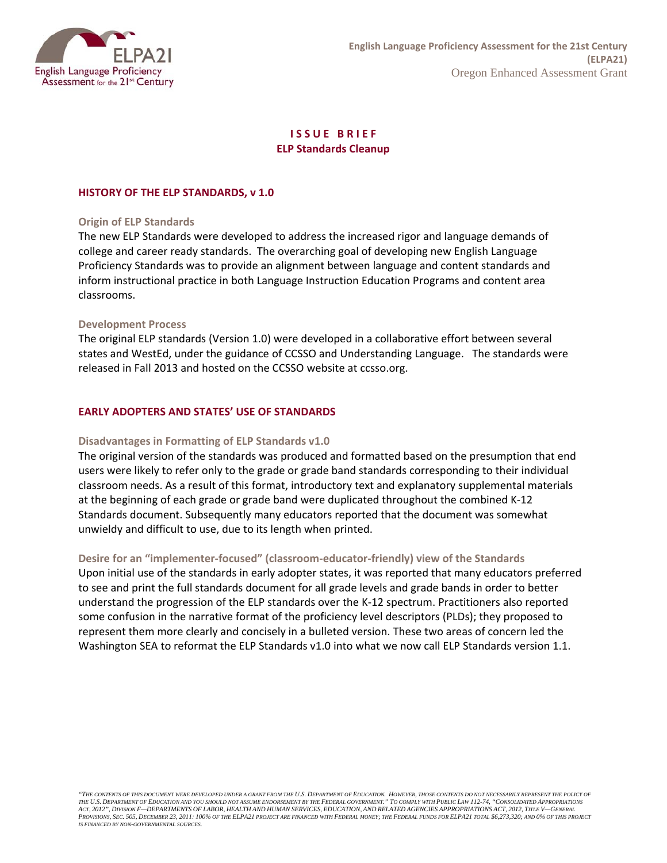

# **I S S U E B R I E F ELP Standards Cleanup**

# **HISTORY OF THE ELP STANDARDS, v 1.0**

# **Origin of ELP Standards**

 The new ELP Standards were developed to address the increased rigor and language demands of college and career ready standards. The overarching goal of developing new English Language Proficiency Standards was to provide an alignment between language and content standards and inform instructional practice in both Language Instruction Education Programs and content area classrooms.

### **Development Process**

 The original ELP standards (Version 1.0) were developed in a collaborative effort between several states and WestEd, under the guidance of CCSSO and Understanding Language. The standards were released in Fall 2013 and hosted on the CCSSO website at ccsso.org.

#### **EARLY ADOPTERS AND STATES' USE OF STANDARDS**

### **Disadvantages in Formatting of ELP Standards v1.0**

 The original version of the standards was produced and formatted based on the presumption that end users were likely to refer only to the grade or grade band standards corresponding to their individual classroom needs. As a result of this format, introductory text and explanatory supplemental materials at the beginning of each grade or grade band were duplicated throughout the combined K‐12 Standards document. Subsequently many educators reported that the document was somewhat unwieldy and difficult to use, due to its length when printed.

# **Desire for an "implementer‐focused" (classroom‐educator‐friendly) view of the Standards**

 Upon initial use of the standards in early adopter states, it was reported that many educators preferred to see and print the full standards document for all grade levels and grade bands in order to better understand the progression of the ELP standards over the K‐12 spectrum. Practitioners also reported some confusion in the narrative format of the proficiency level descriptors (PLDs); they proposed to represent them more clearly and concisely in a bulleted version. These two areas of concern led the Washington SEA to reformat the ELP Standards v1.0 into what we now call ELP Standards version 1.1.

 *"THE CONTENTS OF THIS DOCUMENT WERE DEVELOPED UNDER A GRANT FROM THE U.S. DEPARTMENT OF EDUCATION. HOWEVER, THOSE CONTENTS DO NOT NECESSARILY REPRESENT THE POLICY OF*  THE U.S. DEPARTMENT OF EDUCATION AND YOU SHOULD NOT ASSUME ENDORSEMENT BY THE FEDERAL GOVERNMENT." TO COMPLY WITH PUBLIC LAW 112-74, "CONSOLIDATED APPROPRIATIONS<br>ACT, 2012", DIVISION F—DEPARTMENTS OF LABOR, HEALTH AND HUMA  *PROVISIONS, SEC. 505, DECEMBER 23, 2011: 100% OF THE ELPA21 PROJECT ARE FINANCED WITH FEDERAL MONEY; THE FEDERAL FUNDS FOR ELPA21 TOTAL \$6,273,320; AND 0% OF THIS PROJECT IS FINANCED BY NON-GOVERNMENTAL SOURCES.*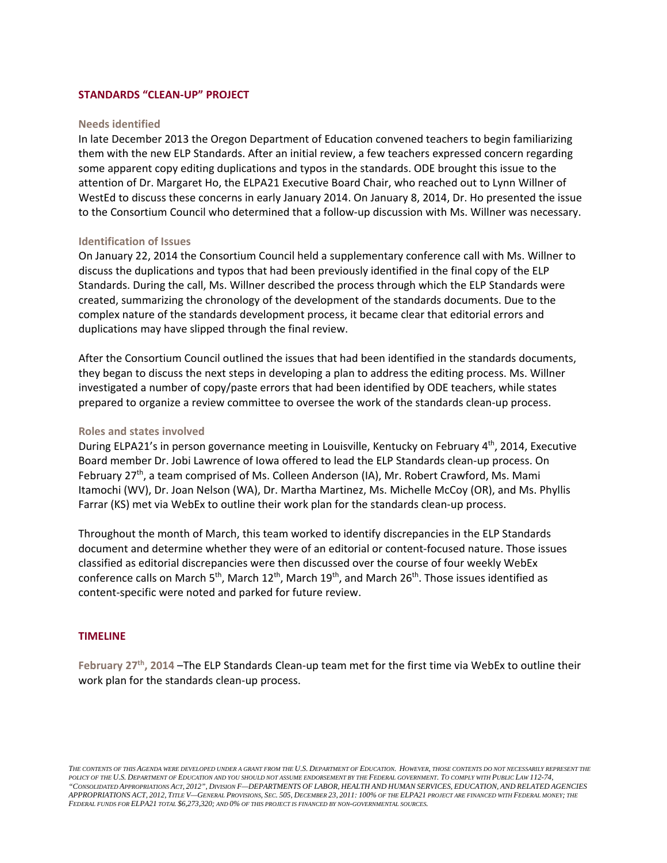# **STANDARDS "CLEAN‐UP" PROJECT**

#### **Needs identified**

 In late December 2013 the Oregon Department of Education convened teachers to begin familiarizing them with the new ELP Standards. After an initial review, a few teachers expressed concern regarding some apparent copy editing duplications and typos in the standards. ODE brought this issue to the attention of Dr. Margaret Ho, the ELPA21 Executive Board Chair, who reached out to Lynn Willner of WestEd to discuss these concerns in early January 2014. On January 8, 2014, Dr. Ho presented the issue to the Consortium Council who determined that a follow‐up discussion with Ms. Willner was necessary.

#### **Identification of Issues**

 On January 22, 2014 the Consortium Council held a supplementary conference call with Ms. Willner to discuss the duplications and typos that had been previously identified in the final copy of the ELP Standards. During the call, Ms. Willner described the process through which the ELP Standards were created, summarizing the chronology of the development of the standards documents. Due to the complex nature of the standards development process, it became clear that editorial errors and duplications may have slipped through the final review.

 After the Consortium Council outlined the issues that had been identified in the standards documents, they began to discuss the next steps in developing a plan to address the editing process. Ms. Willner investigated a number of copy/paste errors that had been identified by ODE teachers, while states prepared to organize a review committee to oversee the work of the standards clean‐up process.

#### **Roles and states involved**

During ELPA21's in person governance meeting in Louisville, Kentucky on February 4<sup>th</sup>, 2014, Executive Board member Dr. Jobi Lawrence of Iowa offered to lead the ELP Standards clean‐up process. On February 27<sup>th</sup>, a team comprised of Ms. Colleen Anderson (IA), Mr. Robert Crawford, Ms. Mami Itamochi (WV), Dr. Joan Nelson (WA), Dr. Martha Martinez, Ms. Michelle McCoy (OR), and Ms. Phyllis Farrar (KS) met via WebEx to outline their work plan for the standards clean‐up process.

 Throughout the month of March, this team worked to identify discrepancies in the ELP Standards document and determine whether they were of an editorial or content‐focused nature. Those issues classified as editorial discrepancies were then discussed over the course of four weekly WebEx conference calls on March 5<sup>th</sup>, March 12<sup>th</sup>, March 19<sup>th</sup>, and March 26<sup>th</sup>. Those issues identified as content‐specific were noted and parked for future review.

#### **TIMELINE**

 **February 27th, 2014** –The ELP Standards Clean‐up team met for the first time via WebEx to outline their work plan for the standards clean‐up process.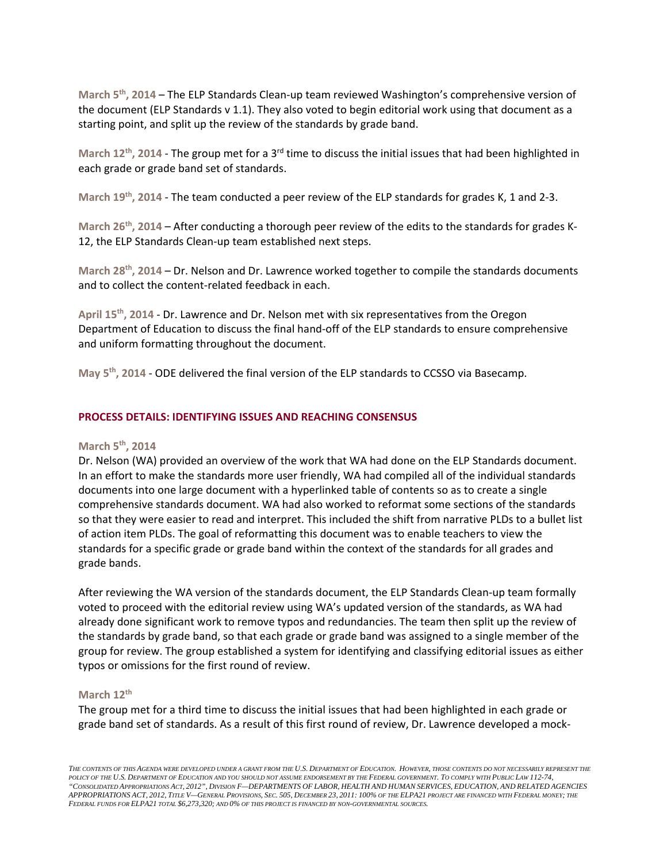**March 5th, 2014** – The ELP Standards Clean‐up team reviewed Washington's comprehensive version of the document (ELP Standards v 1.1). They also voted to begin editorial work using that document as a starting point, and split up the review of the standards by grade band.

 **March 12th, 2014** ‐ The group met for a 3rd time to discuss the initial issues that had been highlighted in each grade or grade band set of standards.

 **March 19th, 2014** ‐ The team conducted a peer review of the ELP standards for grades K, 1 and 2‐3.

March 26<sup>th</sup>, 2014 – After conducting a thorough peer review of the edits to the standards for grades K-12, the ELP Standards Clean‐up team established next steps.

 **March 28th, 2014** – Dr. Nelson and Dr. Lawrence worked together to compile the standards documents and to collect the content‐related feedback in each.

 **April 15th, 2014** ‐ Dr. Lawrence and Dr. Nelson met with six representatives from the Oregon Department of Education to discuss the final hand‐off of the ELP standards to ensure comprehensive and uniform formatting throughout the document.

 **May 5th, 2014** ‐ ODE delivered the final version of the ELP standards to CCSSO via Basecamp.

### **PROCESS DETAILS: IDENTIFYING ISSUES AND REACHING CONSENSUS**

# **March 5th, 2014**

 Dr. Nelson (WA) provided an overview of the work that WA had done on the ELP Standards document. In an effort to make the standards more user friendly, WA had compiled all of the individual standards documents into one large document with a hyperlinked table of contents so as to create a single comprehensive standards document. WA had also worked to reformat some sections of the standards so that they were easier to read and interpret. This included the shift from narrative PLDs to a bullet list of action item PLDs. The goal of reformatting this document was to enable teachers to view the standards for a specific grade or grade band within the context of the standards for all grades and grade bands.

 After reviewing the WA version of the standards document, the ELP Standards Clean‐up team formally voted to proceed with the editorial review using WA's updated version of the standards, as WA had already done significant work to remove typos and redundancies. The team then split up the review of the standards by grade band, so that each grade or grade band was assigned to a single member of the group for review. The group established a system for identifying and classifying editorial issues as either typos or omissions for the first round of review.

#### **March 12th**

 The group met for a third time to discuss the initial issues that had been highlighted in each grade or grade band set of standards. As a result of this first round of review, Dr. Lawrence developed a mock‐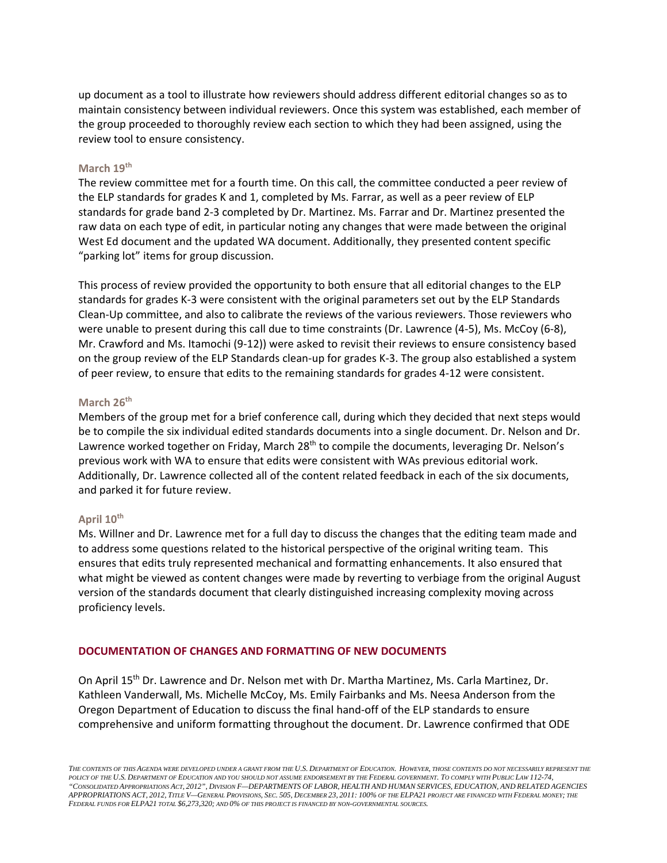up document as a tool to illustrate how reviewers should address different editorial changes so as to maintain consistency between individual reviewers. Once this system was established, each member of the group proceeded to thoroughly review each section to which they had been assigned, using the review tool to ensure consistency.

# **March 19th**

 The review committee met for a fourth time. On this call, the committee conducted a peer review of the ELP standards for grades K and 1, completed by Ms. Farrar, as well as a peer review of ELP standards for grade band 2‐3 completed by Dr. Martinez. Ms. Farrar and Dr. Martinez presented the raw data on each type of edit, in particular noting any changes that were made between the original West Ed document and the updated WA document. Additionally, they presented content specific "parking lot" items for group discussion.

 This process of review provided the opportunity to both ensure that all editorial changes to the ELP standards for grades K‐3 were consistent with the original parameters set out by the ELP Standards Clean‐Up committee, and also to calibrate the reviews of the various reviewers. Those reviewers who were unable to present during this call due to time constraints (Dr. Lawrence (4‐5), Ms. McCoy (6‐8), Mr. Crawford and Ms. Itamochi (9‐12)) were asked to revisit their reviews to ensure consistency based on the group review of the ELP Standards clean‐up for grades K‐3. The group also established a system of peer review, to ensure that edits to the remaining standards for grades 4‐12 were consistent.

# **March** 26<sup>th</sup>

 Members of the group met for a brief conference call, during which they decided that next steps would be to compile the six individual edited standards documents into a single document. Dr. Nelson and Dr. Lawrence worked together on Friday, March 28<sup>th</sup> to compile the documents, leveraging Dr. Nelson's previous work with WA to ensure that edits were consistent with WAs previous editorial work. Additionally, Dr. Lawrence collected all of the content related feedback in each of the six documents, and parked it for future review.

#### **April 10th**

 Ms. Willner and Dr. Lawrence met for a full day to discuss the changes that the editing team made and to address some questions related to the historical perspective of the original writing team. This ensures that edits truly represented mechanical and formatting enhancements. It also ensured that what might be viewed as content changes were made by reverting to verbiage from the original August version of the standards document that clearly distinguished increasing complexity moving across proficiency levels.

# **DOCUMENTATION OF CHANGES AND FORMATTING OF NEW DOCUMENTS**

On April 15<sup>th</sup> Dr. Lawrence and Dr. Nelson met with Dr. Martha Martinez, Ms. Carla Martinez, Dr. Kathleen Vanderwall, Ms. Michelle McCoy, Ms. Emily Fairbanks and Ms. Neesa Anderson from the Oregon Department of Education to discuss the final hand‐off of the ELP standards to ensure comprehensive and uniform formatting throughout the document. Dr. Lawrence confirmed that ODE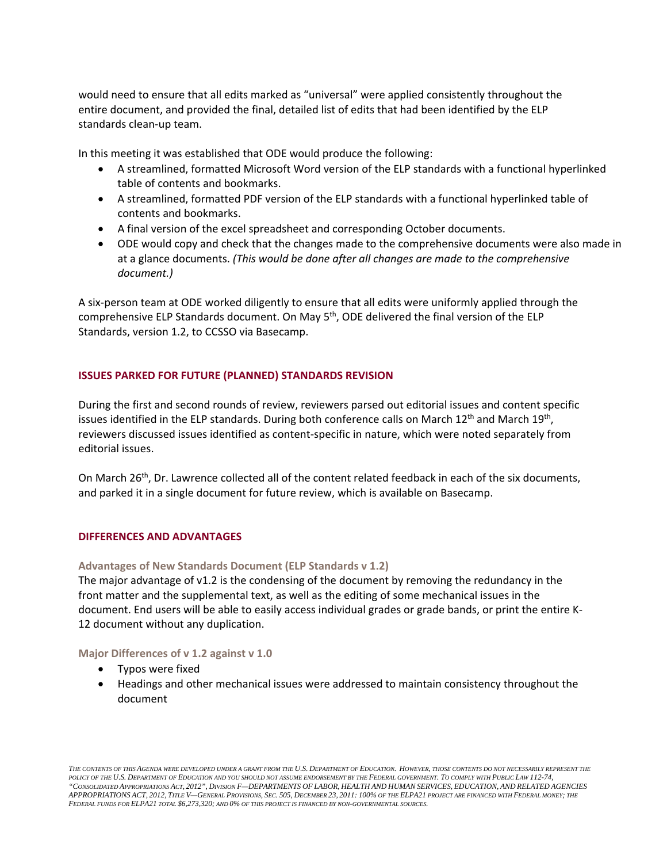would need to ensure that all edits marked as "universal" were applied consistently throughout the entire document, and provided the final, detailed list of edits that had been identified by the ELP standards clean‐up team.

In this meeting it was established that ODE would produce the following:

- A streamlined, formatted Microsoft Word version of the ELP standards with a functional hyperlinked table of contents and bookmarks.
- A streamlined, formatted PDF version of the ELP standards with a functional hyperlinked table of contents and bookmarks.
- A final version of the excel spreadsheet and corresponding October documents.
- ODE would copy and check that the changes made to the comprehensive documents were also made in  at a glance documents. *(This would be done after all changes are made to the comprehensive document.)*

 A six‐person team at ODE worked diligently to ensure that all edits were uniformly applied through the comprehensive ELP Standards document. On May 5<sup>th</sup>, ODE delivered the final version of the ELP Standards, version 1.2, to CCSSO via Basecamp.

# **ISSUES PARKED FOR FUTURE (PLANNED) STANDARDS REVISION**

 During the first and second rounds of review, reviewers parsed out editorial issues and content specific issues identified in the ELP standards. During both conference calls on March 12<sup>th</sup> and March 19<sup>th</sup>, reviewers discussed issues identified as content‐specific in nature, which were noted separately from editorial issues.

On March 26<sup>th</sup>, Dr. Lawrence collected all of the content related feedback in each of the six documents, and parked it in a single document for future review, which is available on Basecamp.

### **DIFFERENCES AND ADVANTAGES**

# **Advantages of New Standards Document (ELP Standards v 1.2)**

 The major advantage of v1.2 is the condensing of the document by removing the redundancy in the front matter and the supplemental text, as well as the editing of some mechanical issues in the document. End users will be able to easily access individual grades or grade bands, or print the entire K‐ 12 document without any duplication.

# **Major Differences of v 1.2 against v 1.0**

- Typos were fixed
- Headings and other mechanical issues were addressed to maintain consistency throughout the document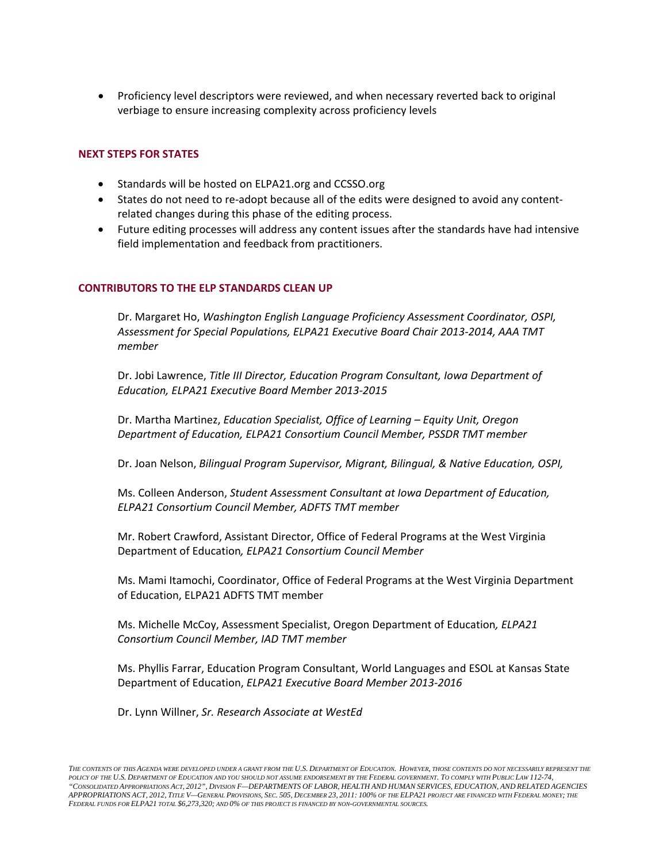Proficiency level descriptors were reviewed, and when necessary reverted back to original verbiage to ensure increasing complexity across proficiency levels

# **NEXT STEPS FOR STATES**

- Standards will be hosted on ELPA21.org and CCSSO.org
- States do not need to re-adopt because all of the edits were designed to avoid any content-related changes during this phase of the editing process.
- Future editing processes will address any content issues after the standards have had intensive field implementation and feedback from practitioners.

## **CONTRIBUTORS TO THE ELP STANDARDS CLEAN UP**

  Dr. Margaret Ho, *Washington English Language Proficiency Assessment Coordinator, OSPI, Assessment for Special Populations, ELPA21 Executive Board Chair 2013‐2014, AAA TMT member*

  Dr. Jobi Lawrence, *Title III Director, Education Program Consultant, Iowa Department of Education, ELPA21 Executive Board Member 2013‐2015*

  Dr. Martha Martinez, *Education Specialist, Office of Learning – Equity Unit, Oregon Department of Education, ELPA21 Consortium Council Member, PSSDR TMT member*

 Dr. Joan Nelson, *Bilingual Program Supervisor, Migrant, Bilingual, & Native Education, OSPI,*

  Ms. Colleen Anderson, *Student Assessment Consultant at Iowa Department of Education, ELPA21 Consortium Council Member, ADFTS TMT member*

 Mr. Robert Crawford, Assistant Director, Office of Federal Programs at the West Virginia  Department of Education*, ELPA21 Consortium Council Member*

 Ms. Mami Itamochi, Coordinator, Office of Federal Programs at the West Virginia Department of Education, ELPA21 ADFTS TMT member

  Ms. Michelle McCoy, Assessment Specialist, Oregon Department of Education*, ELPA21 Consortium Council Member, IAD TMT member*

 Ms. Phyllis Farrar, Education Program Consultant, World Languages and ESOL at Kansas State  Department of Education, *ELPA21 Executive Board Member 2013‐2016*

 Dr. Lynn Willner, *Sr. Research Associate at WestEd*

 *THE CONTENTS OF THIS AGENDA WERE DEVELOPED UNDER A GRANT FROM THE U.S. DEPARTMENT OF EDUCATION. HOWEVER, THOSE CONTENTS DO NOT NECESSARILY REPRESENT THE "CONSOLIDATED APPROPRIATIONS ACT, 2012", DIVISION F—DEPARTMENTS OF LABOR, HEALTH AND HUMAN SERVICES, EDUCATION, AND RELATED AGENCIES APPROPRIATIONS ACT, 2012, TITLE V—GENERAL PROVISIONS, SEC. 505, DECEMBER 23, 2011: 100% OF THE ELPA21 PROJECT ARE FINANCED WITH FEDERAL MONEY; THE POLICY OF THE U.S. DEPARTMENT OF EDUCATION AND YOU SHOULD NOT ASSUME ENDORSEMENT BY THE FEDERAL GOVERNMENT. TO COMPLY WITH PUBLIC LAW 112-74, FEDERAL FUNDS FOR ELPA21 TOTAL \$6,273,320; AND 0% OF THIS PROJECT IS FINANCED BY NON-GOVERNMENTAL SOURCES.*